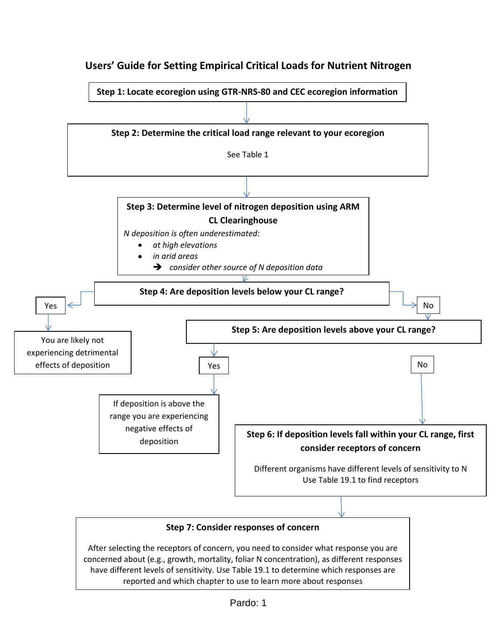

## **Users' Guide for Setting Empirical Critical Loads for Nutrient Nitrogen**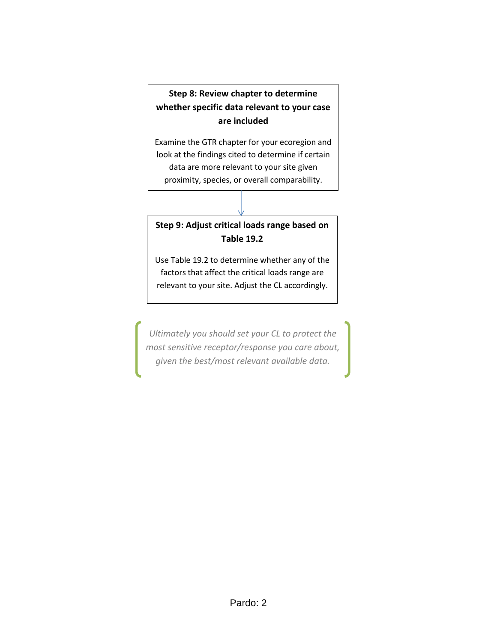## **Step 8: Review chapter to determine whether specific data relevant to your case are included**

Examine the GTR chapter for your ecoregion and look at the findings cited to determine if certain data are more relevant to your site given proximity, species, or overall comparability.

## **Step 9: Adjust critical loads range based on Table 19.2**

Use Table 19.2 to determine whether any of the factors that affect the critical loads range are relevant to your site. Adjust the CL accordingly.

*Ultimately you should set your CL to protect the most sensitive receptor/response you care about, given the best/most relevant available data.*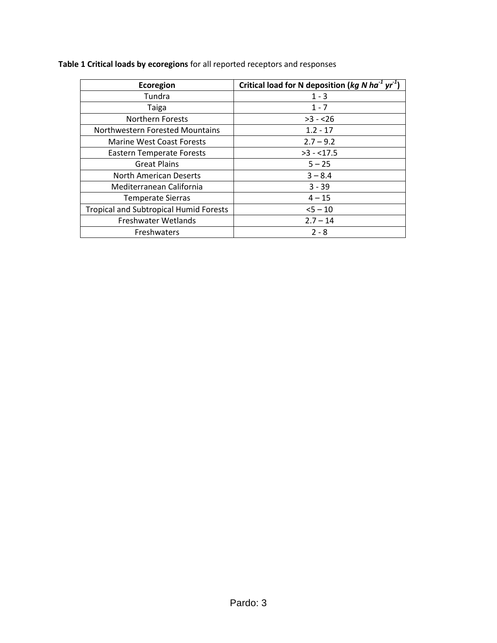| Ecoregion                                     | Critical load for N deposition ( $kg$ N ha <sup>-1</sup> yr <sup>-1</sup> ) |  |  |
|-----------------------------------------------|-----------------------------------------------------------------------------|--|--|
| Tundra                                        | $1 - 3$                                                                     |  |  |
| Taiga                                         | $1 - 7$                                                                     |  |  |
| <b>Northern Forests</b>                       | $>3 - 26$                                                                   |  |  |
| Northwestern Forested Mountains               | $1.2 - 17$                                                                  |  |  |
| <b>Marine West Coast Forests</b>              | $2.7 - 9.2$                                                                 |  |  |
| <b>Eastern Temperate Forests</b>              | $>3 - 17.5$                                                                 |  |  |
| <b>Great Plains</b>                           | $5 - 25$                                                                    |  |  |
| North American Deserts                        | $3 - 8.4$                                                                   |  |  |
| Mediterranean California                      | $3 - 39$                                                                    |  |  |
| <b>Temperate Sierras</b>                      | $4 - 15$                                                                    |  |  |
| <b>Tropical and Subtropical Humid Forests</b> | $5 - 10$                                                                    |  |  |
| Freshwater Wetlands                           | $2.7 - 14$                                                                  |  |  |
| <b>Freshwaters</b>                            | $2 - 8$                                                                     |  |  |

**Table 1 Critical loads by ecoregions** for all reported receptors and responses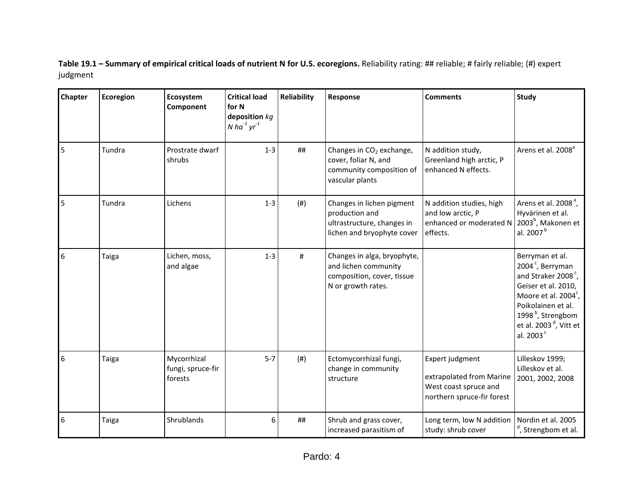**Table 19.1 – Summary of empirical critical loads of nutrient N for U.S. ecoregions.** Reliability rating: ## reliable; # fairly reliable; (#) expert judgment

| Chapter | Ecoregion | Ecosystem<br>Component                      | <b>Critical load</b><br>for N<br>deposition $kg$<br>N ha $^{-1}$ yr $^{-1}$ | <b>Reliability</b> | Response                                                                                                    | <b>Comments</b>                                                                                    | Study                                                                                                                                                                                                                                                     |
|---------|-----------|---------------------------------------------|-----------------------------------------------------------------------------|--------------------|-------------------------------------------------------------------------------------------------------------|----------------------------------------------------------------------------------------------------|-----------------------------------------------------------------------------------------------------------------------------------------------------------------------------------------------------------------------------------------------------------|
| 5       | Tundra    | Prostrate dwarf<br>shrubs                   | $1 - 3$                                                                     | ##                 | Changes in CO <sub>2</sub> exchange,<br>cover, foliar N, and<br>community composition of<br>vascular plants | N addition study,<br>Greenland high arctic, P<br>enhanced N effects.                               | Arens et al. 2008 <sup>ª</sup>                                                                                                                                                                                                                            |
| 5       | Tundra    | Lichens                                     | $1 - 3$                                                                     | (# )               | Changes in lichen pigment<br>production and<br>ultrastructure, changes in<br>lichen and bryophyte cover     | N addition studies, high<br>and low arctic, P<br>enhanced or moderated N<br>effects.               | Arens et al. 2008 <sup>a</sup> ,<br>Hyvärinen et al.<br>2003 <sup>b</sup> , Makonen et<br>al. 2007 <sup>b</sup>                                                                                                                                           |
| 6       | Taiga     | Lichen, moss,<br>and algae                  | $1 - 3$                                                                     | $\#$               | Changes in alga, bryophyte,<br>and lichen community<br>composition, cover, tissue<br>N or growth rates.     |                                                                                                    | Berryman et al.<br>2004 <sup>c</sup> , Berryman<br>and Straker 2008 <sup>c</sup> ,<br>Geiser et al. 2010,<br>Moore et al. 2004 <sup>c</sup> ,<br>Poikolainen et al.<br>1998 <sup>b</sup> , Strengbom<br>et al. $2003d$ , Vitt et<br>al. 2003 <sup>c</sup> |
| 6       | Taiga     | Mycorrhizal<br>fungi, spruce-fir<br>forests | $5 - 7$                                                                     | (# )               | Ectomycorrhizal fungi,<br>change in community<br>structure                                                  | Expert judgment<br>extrapolated from Marine<br>West coast spruce and<br>northern spruce-fir forest | Lilleskov 1999;<br>Lilleskov et al.<br>2001, 2002, 2008                                                                                                                                                                                                   |
| 6       | Taiga     | Shrublands                                  | 6                                                                           | ##                 | Shrub and grass cover,<br>increased parasitism of                                                           | Long term, low N addition<br>study: shrub cover                                                    | Nordin et al. 2005<br><sup>d</sup> , Strengbom et al.                                                                                                                                                                                                     |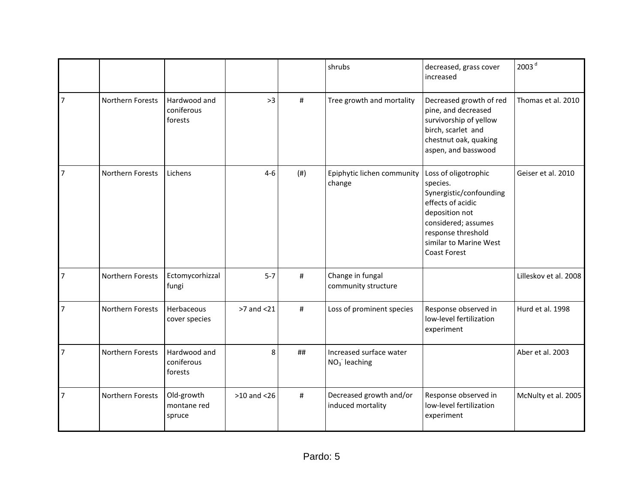|                |                  |                                       |                 |      | shrubs                                       | decreased, grass cover<br>increased                                                                                                                                                              | 2003 <sup>d</sup>     |
|----------------|------------------|---------------------------------------|-----------------|------|----------------------------------------------|--------------------------------------------------------------------------------------------------------------------------------------------------------------------------------------------------|-----------------------|
| $\overline{7}$ | Northern Forests | Hardwood and<br>coniferous<br>forests | >3              | #    | Tree growth and mortality                    | Decreased growth of red<br>pine, and decreased<br>survivorship of yellow<br>birch, scarlet and<br>chestnut oak, quaking<br>aspen, and basswood                                                   | Thomas et al. 2010    |
| 7              | Northern Forests | Lichens                               | $4-6$           | (# ) | Epiphytic lichen community<br>change         | Loss of oligotrophic<br>species.<br>Synergistic/confounding<br>effects of acidic<br>deposition not<br>considered; assumes<br>response threshold<br>similar to Marine West<br><b>Coast Forest</b> | Geiser et al. 2010    |
| $\overline{7}$ | Northern Forests | Ectomycorhizzal<br>fungi              | $5 - 7$         | #    | Change in fungal<br>community structure      |                                                                                                                                                                                                  | Lilleskov et al. 2008 |
| 7              | Northern Forests | Herbaceous<br>cover species           | >7 and <21      | #    | Loss of prominent species                    | Response observed in<br>low-level fertilization<br>experiment                                                                                                                                    | Hurd et al. 1998      |
| $\overline{7}$ | Northern Forests | Hardwood and<br>coniferous<br>forests | 8               | ##   | Increased surface water<br>$NO3$ leaching    |                                                                                                                                                                                                  | Aber et al. 2003      |
| $\overline{7}$ | Northern Forests | Old-growth<br>montane red<br>spruce   | $>10$ and $<26$ | #    | Decreased growth and/or<br>induced mortality | Response observed in<br>low-level fertilization<br>experiment                                                                                                                                    | McNulty et al. 2005   |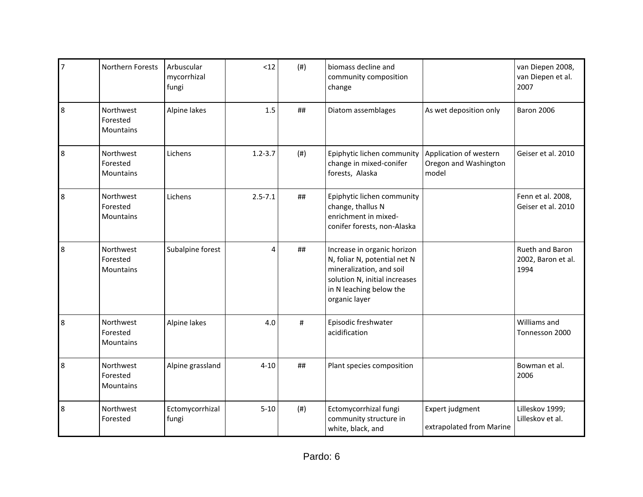| $\overline{7}$ | Northern Forests                          | Arbuscular<br>mycorrhizal<br>fungi | <12         | (# ) | biomass decline and<br>community composition<br>change                                                                                                               |                                                          | van Diepen 2008,<br>van Diepen et al.<br>2007 |
|----------------|-------------------------------------------|------------------------------------|-------------|------|----------------------------------------------------------------------------------------------------------------------------------------------------------------------|----------------------------------------------------------|-----------------------------------------------|
| 8              | Northwest<br>Forested<br>Mountains        | Alpine lakes                       | 1.5         | ##   | Diatom assemblages                                                                                                                                                   | As wet deposition only                                   | <b>Baron 2006</b>                             |
| 8              | Northwest<br>Forested<br><b>Mountains</b> | Lichens                            | $1.2 - 3.7$ | (# ) | Epiphytic lichen community<br>change in mixed-conifer<br>forests, Alaska                                                                                             | Application of western<br>Oregon and Washington<br>model | Geiser et al. 2010                            |
| 8              | Northwest<br>Forested<br><b>Mountains</b> | Lichens                            | $2.5 - 7.1$ | ##   | Epiphytic lichen community<br>change, thallus N<br>enrichment in mixed-<br>conifer forests, non-Alaska                                                               |                                                          | Fenn et al. 2008,<br>Geiser et al. 2010       |
| 8              | Northwest<br>Forested<br>Mountains        | Subalpine forest                   | 4           | ##   | Increase in organic horizon<br>N, foliar N, potential net N<br>mineralization, and soil<br>solution N, initial increases<br>in N leaching below the<br>organic layer |                                                          | Rueth and Baron<br>2002, Baron et al.<br>1994 |
| 8              | Northwest<br>Forested<br>Mountains        | Alpine lakes                       | 4.0         | $\#$ | Episodic freshwater<br>acidification                                                                                                                                 |                                                          | Williams and<br>Tonnesson 2000                |
| 8              | Northwest<br>Forested<br>Mountains        | Alpine grassland                   | $4 - 10$    | ##   | Plant species composition                                                                                                                                            |                                                          | Bowman et al.<br>2006                         |
| 8              | Northwest<br>Forested                     | Ectomycorrhizal<br>fungi           | $5 - 10$    | (# ) | Ectomycorrhizal fungi<br>community structure in<br>white, black, and                                                                                                 | Expert judgment<br>extrapolated from Marine              | Lilleskov 1999;<br>Lilleskov et al.           |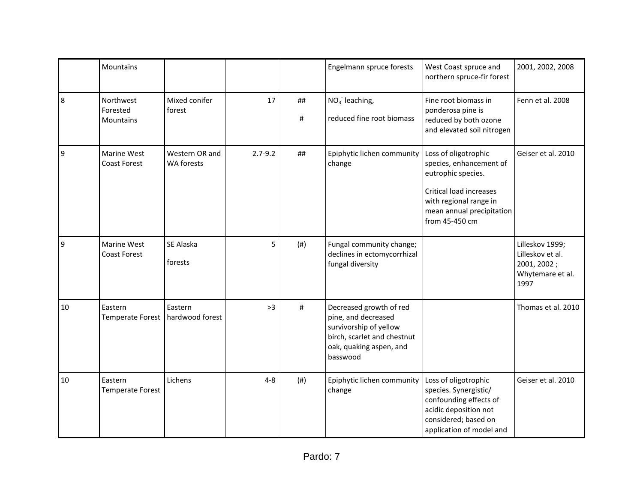|    | Mountains                          |                              |             |         | Engelmann spruce forests                                                                                                                       | West Coast spruce and<br>northern spruce-fir forest                                                                                                                              | 2001, 2002, 2008                                                               |
|----|------------------------------------|------------------------------|-------------|---------|------------------------------------------------------------------------------------------------------------------------------------------------|----------------------------------------------------------------------------------------------------------------------------------------------------------------------------------|--------------------------------------------------------------------------------|
| 8  | Northwest<br>Forested<br>Mountains | Mixed conifer<br>forest      | 17          | ##<br># | $NO3$ leaching,<br>reduced fine root biomass                                                                                                   | Fine root biomass in<br>ponderosa pine is<br>reduced by both ozone<br>and elevated soil nitrogen                                                                                 | Fenn et al. 2008                                                               |
| 9  | Marine West<br><b>Coast Forest</b> | Western OR and<br>WA forests | $2.7 - 9.2$ | ##      | Epiphytic lichen community<br>change                                                                                                           | Loss of oligotrophic<br>species, enhancement of<br>eutrophic species.<br><b>Critical load increases</b><br>with regional range in<br>mean annual precipitation<br>from 45-450 cm | Geiser et al. 2010                                                             |
| 9  | Marine West<br><b>Coast Forest</b> | SE Alaska<br>forests         | 5           | (# )    | Fungal community change;<br>declines in ectomycorrhizal<br>fungal diversity                                                                    |                                                                                                                                                                                  | Lilleskov 1999;<br>Lilleskov et al.<br>2001, 2002;<br>Whytemare et al.<br>1997 |
| 10 | Eastern<br><b>Temperate Forest</b> | Eastern<br>hardwood forest   | >3          | #       | Decreased growth of red<br>pine, and decreased<br>survivorship of yellow<br>birch, scarlet and chestnut<br>oak, quaking aspen, and<br>basswood |                                                                                                                                                                                  | Thomas et al. 2010                                                             |
| 10 | Eastern<br><b>Temperate Forest</b> | Lichens                      | $4 - 8$     | (# )    | Epiphytic lichen community<br>change                                                                                                           | Loss of oligotrophic<br>species. Synergistic/<br>confounding effects of<br>acidic deposition not<br>considered; based on<br>application of model and                             | Geiser et al. 2010                                                             |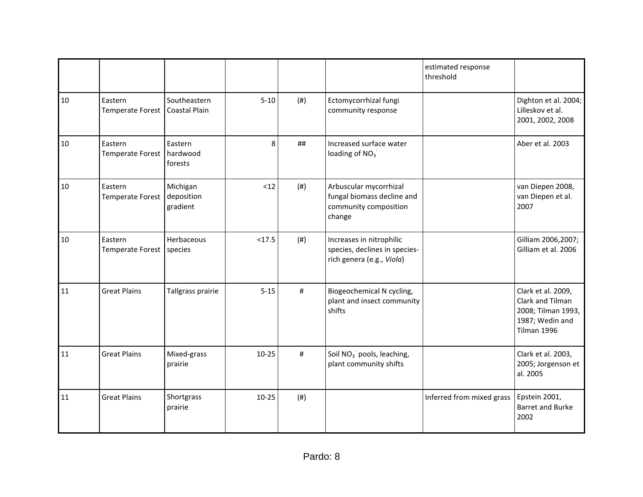|    |                                    |                                    |           |           |                                                                                         | estimated response<br>threshold |                                                                                                |
|----|------------------------------------|------------------------------------|-----------|-----------|-----------------------------------------------------------------------------------------|---------------------------------|------------------------------------------------------------------------------------------------|
| 10 | Eastern<br><b>Temperate Forest</b> | Southeastern<br>Coastal Plain      | $5 - 10$  | (# )      | Ectomycorrhizal fungi<br>community response                                             |                                 | Dighton et al. 2004;<br>Lilleskov et al.<br>2001, 2002, 2008                                   |
| 10 | Eastern<br><b>Temperate Forest</b> | Eastern<br>hardwood<br>forests     | 8         | ##        | Increased surface water<br>loading of $NO3$                                             |                                 | Aber et al. 2003                                                                               |
| 10 | Eastern<br><b>Temperate Forest</b> | Michigan<br>deposition<br>gradient | <12       | $($ # $)$ | Arbuscular mycorrhizal<br>fungal biomass decline and<br>community composition<br>change |                                 | van Diepen 2008,<br>van Diepen et al.<br>2007                                                  |
| 10 | Eastern<br><b>Temperate Forest</b> | Herbaceous<br>species              | < 17.5    | (# )      | Increases in nitrophilic<br>species, declines in species-<br>rich genera (e.g., Viola)  |                                 | Gilliam 2006,2007;<br>Gilliam et al. 2006                                                      |
| 11 | <b>Great Plains</b>                | Tallgrass prairie                  | $5 - 15$  | #         | Biogeochemical N cycling,<br>plant and insect community<br>shifts                       |                                 | Clark et al. 2009,<br>Clark and Tilman<br>2008; Tilman 1993,<br>1987; Wedin and<br>Tilman 1996 |
| 11 | <b>Great Plains</b>                | Mixed-grass<br>prairie             | $10 - 25$ | $\#$      | Soil NO <sub>3</sub> pools, leaching,<br>plant community shifts                         |                                 | Clark et al. 2003,<br>2005; Jorgenson et<br>al. 2005                                           |
| 11 | <b>Great Plains</b>                | Shortgrass<br>prairie              | $10 - 25$ | (# )      |                                                                                         | Inferred from mixed grass       | Epstein 2001,<br><b>Barret and Burke</b><br>2002                                               |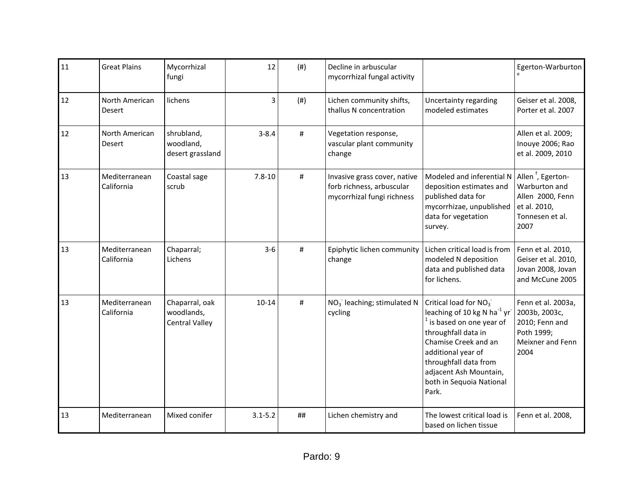| 11 | <b>Great Plains</b>             | Mycorrhizal<br>fungi                                  | 12          | (# ) | Decline in arbuscular<br>mycorrhizal fungal activity                                    |                                                                                                                                                                                                                                                                    | Egerton-Warburton                                                                                             |
|----|---------------------------------|-------------------------------------------------------|-------------|------|-----------------------------------------------------------------------------------------|--------------------------------------------------------------------------------------------------------------------------------------------------------------------------------------------------------------------------------------------------------------------|---------------------------------------------------------------------------------------------------------------|
| 12 | North American<br>Desert        | lichens                                               | 3           | (# ) | Lichen community shifts,<br>thallus N concentration                                     | Uncertainty regarding<br>modeled estimates                                                                                                                                                                                                                         | Geiser et al. 2008,<br>Porter et al. 2007                                                                     |
| 12 | North American<br><b>Desert</b> | shrubland,<br>woodland,<br>desert grassland           | $3 - 8.4$   | #    | Vegetation response,<br>vascular plant community<br>change                              |                                                                                                                                                                                                                                                                    | Allen et al. 2009;<br>Inouye 2006; Rao<br>et al. 2009, 2010                                                   |
| 13 | Mediterranean<br>California     | Coastal sage<br>scrub                                 | $7.8 - 10$  | #    | Invasive grass cover, native<br>forb richness, arbuscular<br>mycorrhizal fungi richness | Modeled and inferential N<br>deposition estimates and<br>published data for<br>mycorrhizae, unpublished<br>data for vegetation<br>survey.                                                                                                                          | Allen <sup>f</sup> , Egerton-<br>Warburton and<br>Allen 2000, Fenn<br>et al. 2010,<br>Tonnesen et al.<br>2007 |
| 13 | Mediterranean<br>California     | Chaparral;<br>Lichens                                 | $3 - 6$     | $\#$ | Epiphytic lichen community<br>change                                                    | Lichen critical load is from<br>modeled N deposition<br>data and published data<br>for lichens.                                                                                                                                                                    | Fenn et al. 2010,<br>Geiser et al. 2010,<br>Jovan 2008, Jovan<br>and McCune 2005                              |
| 13 | Mediterranean<br>California     | Chaparral, oak<br>woodlands,<br><b>Central Valley</b> | $10 - 14$   | #    | $NO3$ leaching; stimulated N<br>cycling                                                 | Critical load for NO <sub>3</sub><br>leaching of 10 kg N ha $^{-1}$ yr<br>$1$ is based on one year of<br>throughfall data in<br>Chamise Creek and an<br>additional year of<br>throughfall data from<br>adjacent Ash Mountain,<br>both in Sequoia National<br>Park. | Fenn et al. 2003a,<br>2003b, 2003c,<br>2010; Fenn and<br>Poth 1999;<br>Meixner and Fenn<br>2004               |
| 13 | Mediterranean                   | Mixed conifer                                         | $3.1 - 5.2$ | ##   | Lichen chemistry and                                                                    | The lowest critical load is<br>based on lichen tissue                                                                                                                                                                                                              | Fenn et al. 2008,                                                                                             |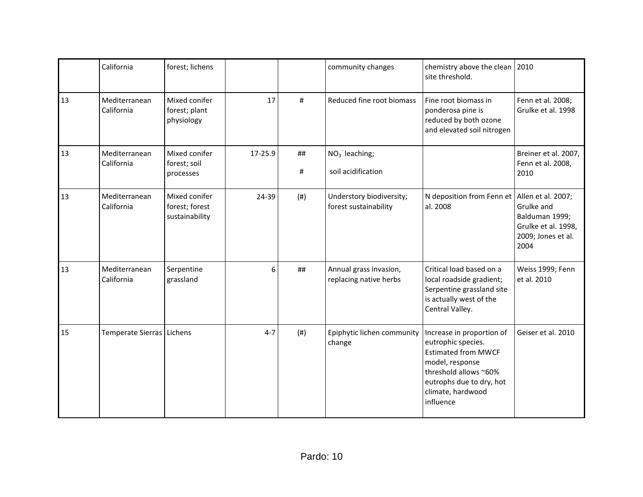|    | California                  | forest; lichens                                   |         |         | community changes                                 | chemistry above the clean 2010<br>site threshold.                                                                                                                                       |                                                                                   |
|----|-----------------------------|---------------------------------------------------|---------|---------|---------------------------------------------------|-----------------------------------------------------------------------------------------------------------------------------------------------------------------------------------------|-----------------------------------------------------------------------------------|
| 13 | Mediterranean<br>California | Mixed conifer<br>forest; plant<br>physiology      | 17      | #       | Reduced fine root biomass                         | Fine root biomass in<br>ponderosa pine is<br>reduced by both ozone<br>and elevated soil nitrogen                                                                                        | Fenn et al. 2008;<br>Grulke et al. 1998                                           |
| 13 | Mediterranean<br>California | Mixed conifer<br>forest; soil<br>processes        | 17-25.9 | ##<br># | $NO3$ leaching;<br>soil acidification             |                                                                                                                                                                                         | Breiner et al. 2007,<br>Fenn et al. 2008,<br>2010                                 |
| 13 | Mediterranean<br>California | Mixed conifer<br>forest; forest<br>sustainability | 24-39   | (#)     | Understory biodiversity;<br>forest sustainability | N deposition from Fenn et   Allen et al. 2007;<br>al. 2008                                                                                                                              | Grulke and<br>Balduman 1999;<br>Grulke et al. 1998,<br>2009; Jones et al.<br>2004 |
| 13 | Mediterranean<br>California | Serpentine<br>grassland                           | 6       | ##      | Annual grass invasion,<br>replacing native herbs  | Critical load based on a<br>local roadside gradient;<br>Serpentine grassland site<br>is actually west of the<br>Central Valley.                                                         | Weiss 1999; Fenn<br>et al. 2010                                                   |
| 15 | Temperate Sierras   Lichens |                                                   | $4 - 7$ | (# )    | Epiphytic lichen community<br>change              | Increase in proportion of<br>eutrophic species.<br><b>Estimated from MWCF</b><br>model, response<br>threshold allows ~60%<br>eutrophs due to dry, hot<br>climate, hardwood<br>influence | Geiser et al. 2010                                                                |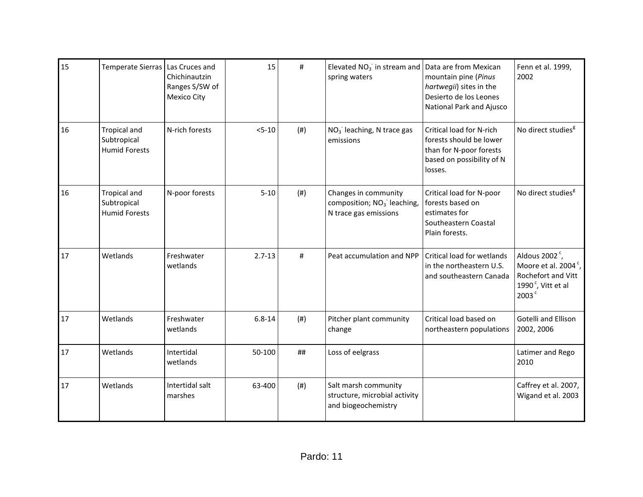| 15 | Temperate Sierras   Las Cruces and                         | Chichinautzin<br>Ranges S/SW of<br><b>Mexico City</b> | 15         | #    | Elevated $NO3$ in stream and<br>spring waters                                           | Data are from Mexican<br>mountain pine (Pinus<br>hartwegii) sites in the<br>Desierto de los Leones<br>National Park and Ajusco | Fenn et al. 1999,<br>2002                                                                                                           |
|----|------------------------------------------------------------|-------------------------------------------------------|------------|------|-----------------------------------------------------------------------------------------|--------------------------------------------------------------------------------------------------------------------------------|-------------------------------------------------------------------------------------------------------------------------------------|
| 16 | <b>Tropical and</b><br>Subtropical<br><b>Humid Forests</b> | N-rich forests                                        | $5 - 10$   | (# ) | $NO3$ leaching, N trace gas<br>emissions                                                | Critical load for N-rich<br>forests should be lower<br>than for N-poor forests<br>based on possibility of N<br>losses.         | No direct studies <sup>8</sup>                                                                                                      |
| 16 | <b>Tropical and</b><br>Subtropical<br><b>Humid Forests</b> | N-poor forests                                        | $5 - 10$   | (# ) | Changes in community<br>composition; NO <sub>3</sub> leaching,<br>N trace gas emissions | Critical load for N-poor<br>forests based on<br>estimates for<br>Southeastern Coastal<br>Plain forests.                        | No direct studies <sup>8</sup>                                                                                                      |
| 17 | Wetlands                                                   | Freshwater<br>wetlands                                | $2.7 - 13$ | #    | Peat accumulation and NPP                                                               | Critical load for wetlands<br>in the northeastern U.S.<br>and southeastern Canada                                              | Aldous 2002 $\degree$ ,<br>Moore et al. 2004 <sup>c</sup> ,<br>Rochefort and Vitt<br>1990 $\degree$ , Vitt et al<br>2003 $^{\circ}$ |
| 17 | Wetlands                                                   | Freshwater<br>wetlands                                | $6.8 - 14$ | (# ) | Pitcher plant community<br>change                                                       | Critical load based on<br>northeastern populations                                                                             | <b>Gotelli and Ellison</b><br>2002, 2006                                                                                            |
| 17 | Wetlands                                                   | Intertidal<br>wetlands                                | 50-100     | ##   | Loss of eelgrass                                                                        |                                                                                                                                | Latimer and Rego<br>2010                                                                                                            |
| 17 | Wetlands                                                   | Intertidal salt<br>marshes                            | 63-400     | (# ) | Salt marsh community<br>structure, microbial activity<br>and biogeochemistry            |                                                                                                                                | Caffrey et al. 2007,<br>Wigand et al. 2003                                                                                          |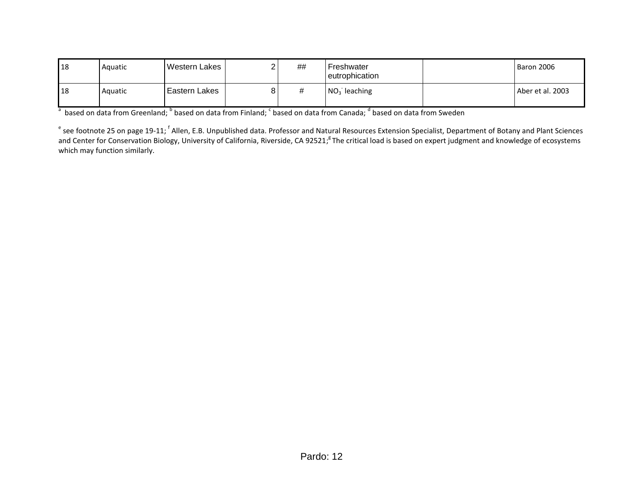| l 18 | Aquatic | Western Lakes   | ## | Freshwater<br>eutrophication | Baron 2006       |
|------|---------|-----------------|----|------------------------------|------------------|
| 18   | Aquatic | l Eastern Lakes | #  | $NO3$ leaching               | Aber et al. 2003 |

 $^a$  based on data from Greenland;  $^b$  based on data from Finland;  $^c$  based on data from Canada;  $^d$  based on data from Sweden

<sup>e</sup> see footnote 25 on page 19-11; <sup>f</sup> Allen, E.B. Unpublished data. Professor and Natural Resources Extension Specialist, Department of Botany and Plant Sciences and Center for Conservation Biology, University of California, Riverside, CA 92521;<sup>8</sup> The critical load is based on expert judgment and knowledge of ecosystems which may function similarly.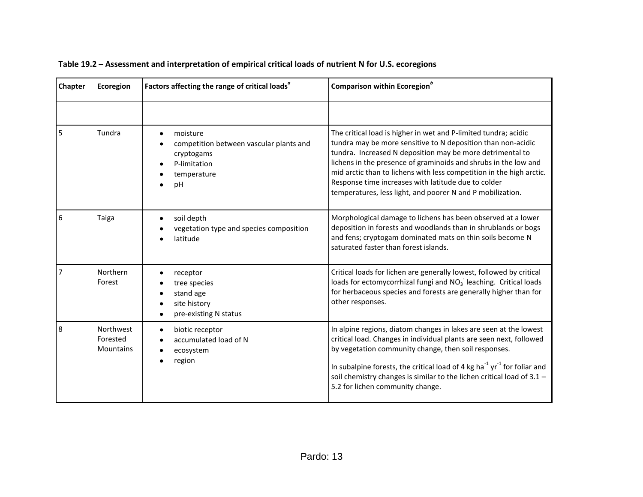| Chapter | Ecoregion                                 | Factors affecting the range of critical loads <sup>a</sup>                                             | Comparison within Ecoregion <sup>b</sup>                                                                                                                                                                                                                                                                                                                                                                                                                     |
|---------|-------------------------------------------|--------------------------------------------------------------------------------------------------------|--------------------------------------------------------------------------------------------------------------------------------------------------------------------------------------------------------------------------------------------------------------------------------------------------------------------------------------------------------------------------------------------------------------------------------------------------------------|
|         |                                           |                                                                                                        |                                                                                                                                                                                                                                                                                                                                                                                                                                                              |
| 5       | Tundra                                    | moisture<br>competition between vascular plants and<br>cryptogams<br>P-limitation<br>temperature<br>pH | The critical load is higher in wet and P-limited tundra; acidic<br>tundra may be more sensitive to N deposition than non-acidic<br>tundra. Increased N deposition may be more detrimental to<br>lichens in the presence of graminoids and shrubs in the low and<br>mid arctic than to lichens with less competition in the high arctic.<br>Response time increases with latitude due to colder<br>temperatures, less light, and poorer N and P mobilization. |
| 6       | Taiga                                     | soil depth<br>vegetation type and species composition<br>latitude                                      | Morphological damage to lichens has been observed at a lower<br>deposition in forests and woodlands than in shrublands or bogs<br>and fens; cryptogam dominated mats on thin soils become N<br>saturated faster than forest islands.                                                                                                                                                                                                                         |
| 7       | Northern<br>Forest                        | receptor<br>tree species<br>stand age<br>site history<br>pre-existing N status                         | Critical loads for lichen are generally lowest, followed by critical<br>loads for ectomycorrhizal fungi and NO <sub>3</sub> leaching. Critical loads<br>for herbaceous species and forests are generally higher than for<br>other responses.                                                                                                                                                                                                                 |
| 8       | Northwest<br>Forested<br><b>Mountains</b> | biotic receptor<br>accumulated load of N<br>ecosystem<br>region                                        | In alpine regions, diatom changes in lakes are seen at the lowest<br>critical load. Changes in individual plants are seen next, followed<br>by vegetation community change, then soil responses.<br>In subalpine forests, the critical load of 4 kg ha $^{-1}$ yr $^{-1}$ for foliar and<br>soil chemistry changes is similar to the lichen critical load of $3.1 -$<br>5.2 for lichen community change.                                                     |

## **Table 19.2 – Assessment and interpretation of empirical critical loads of nutrient N for U.S. ecoregions**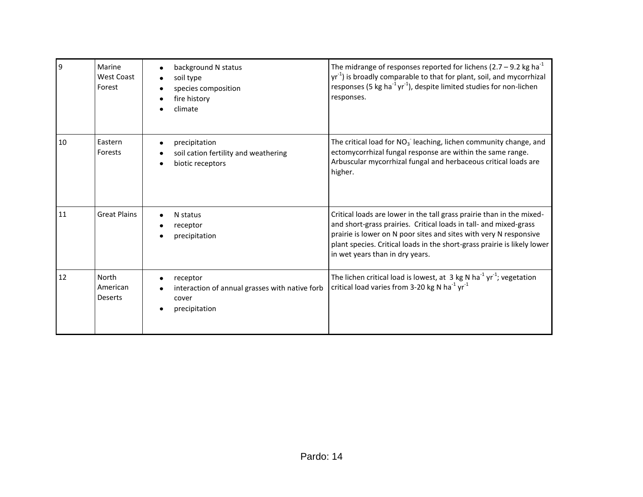| 9  | Marine<br><b>West Coast</b><br>Forest | background N status<br>soil type<br>species composition<br>fire history<br>climate   | The midrange of responses reported for lichens (2.7 – 9.2 kg ha <sup>-1</sup><br>yr <sup>-1</sup> ) is broadly comparable to that for plant, soil, and mycorrhizal<br>responses (5 kg ha <sup>-1</sup> yr <sup>-1</sup> ), despite limited studies for non-lichen<br>responses.                                                |
|----|---------------------------------------|--------------------------------------------------------------------------------------|--------------------------------------------------------------------------------------------------------------------------------------------------------------------------------------------------------------------------------------------------------------------------------------------------------------------------------|
| 10 | Eastern<br>Forests                    | precipitation<br>soil cation fertility and weathering<br>biotic receptors            | The critical load for $NO3$ leaching, lichen community change, and<br>ectomycorrhizal fungal response are within the same range.<br>Arbuscular mycorrhizal fungal and herbaceous critical loads are<br>higher.                                                                                                                 |
| 11 | <b>Great Plains</b>                   | N status<br>receptor<br>precipitation                                                | Critical loads are lower in the tall grass prairie than in the mixed-<br>and short-grass prairies. Critical loads in tall- and mixed-grass<br>prairie is lower on N poor sites and sites with very N responsive<br>plant species. Critical loads in the short-grass prairie is likely lower<br>in wet years than in dry years. |
| 12 | North<br>American<br><b>Deserts</b>   | receptor<br>interaction of annual grasses with native forb<br>cover<br>precipitation | The lichen critical load is lowest, at 3 kg N ha <sup>-1</sup> yr <sup>-1</sup> ; vegetation<br>critical load varies from 3-20 kg N ha <sup>-1</sup> yr <sup>-1</sup>                                                                                                                                                          |